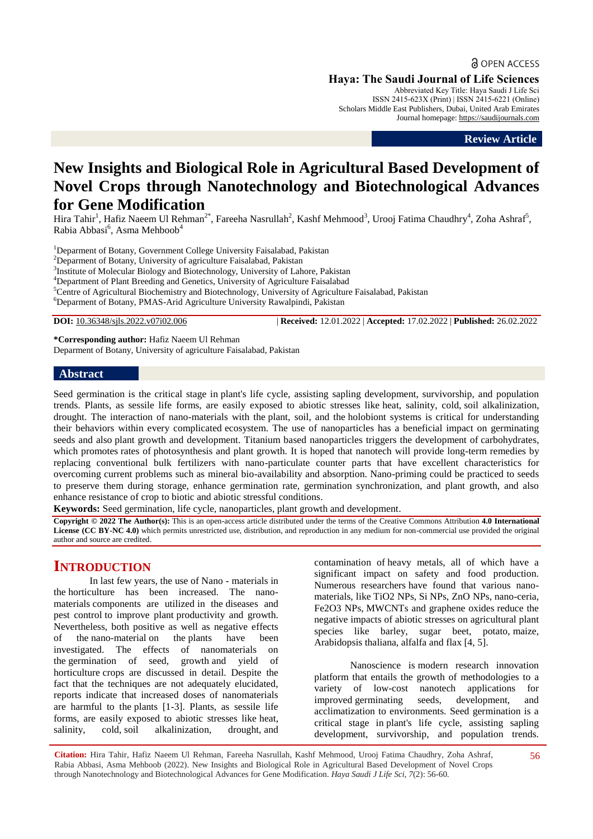**a** OPEN ACCESS **Haya: The Saudi Journal of Life Sciences** Abbreviated Key Title: Haya Saudi J Life Sci

ISSN 2415-623X (Print) | ISSN 2415-6221 (Online) Scholars Middle East Publishers, Dubai, United Arab Emirates Journal homepage: [https://saudijournals.com](https://saudijournals.com/sjls)

**Review Article**

# **New Insights and Biological Role in Agricultural Based Development of Novel Crops through Nanotechnology and Biotechnological Advances for Gene Modification**

Hira Tahir<sup>1</sup>, Hafiz Naeem Ul Rehman<sup>2\*</sup>, Fareeha Nasrullah<sup>2</sup>, Kashf Mehmood<sup>3</sup>, Urooj Fatima Chaudhry<sup>4</sup>, Zoha Ashraf<sup>5</sup>, Rabia Abbasi<sup>6</sup>, Asma Mehboob<sup>4</sup>

<sup>1</sup>Deparment of Botany, Government College University Faisalabad, Pakistan

<sup>2</sup>Deparment of Botany, University of agriculture Faisalabad, Pakistan

<sup>3</sup>Institute of Molecular Biology and Biotechnology, University of Lahore, Pakistan

<sup>4</sup>Department of Plant Breeding and Genetics, University of Agriculture Faisalabad

<sup>5</sup>Centre of Agricultural Biochemistry and Biotechnology, University of Agriculture Faisalabad, Pakistan

<sup>6</sup>Deparment of Botany, PMAS-Arid Agriculture University Rawalpindi, Pakistan

**DOI:** 10.36348/sjls.2022.v07i02.006 | **Received:** 12.01.2022 | **Accepted:** 17.02.2022 | **Published:** 26.02.2022

**\*Corresponding author:** Hafiz Naeem Ul Rehman Deparment of Botany, University of agriculture Faisalabad, Pakistan

### **Abstract**

Seed germination is the critical stage in plant's life cycle, assisting sapling development, survivorship, and population trends. Plants, as sessile life forms, are easily exposed to abiotic stresses like heat, salinity, cold, soil alkalinization, drought. The interaction of nano-materials with the plant, soil, and the holobiont systems is critical for understanding their behaviors within every complicated ecosystem. The use of nanoparticles has a beneficial impact on germinating seeds and also plant growth and development. Titanium based nanoparticles triggers the development of carbohydrates, which promotes rates of photosynthesis and plant growth. It is hoped that nanotech will provide long-term remedies by replacing conventional bulk fertilizers with nano-particulate counter parts that have excellent characteristics for overcoming current problems such as mineral bio-availability and absorption. Nano-priming could be practiced to seeds to preserve them during storage, enhance germination rate, germination synchronization, and plant growth, and also enhance resistance of crop to biotic and abiotic stressful conditions.

**Keywords:** Seed germination, life cycle, nanoparticles, plant growth and development.

**Copyright © 2022 The Author(s):** This is an open-access article distributed under the terms of the Creative Commons Attribution **4.0 International License (CC BY-NC 4.0)** which permits unrestricted use, distribution, and reproduction in any medium for non-commercial use provided the original author and source are credited.

# **INTRODUCTION**

In last few years, the use of Nano - materials in the horticulture has been increased. The nanomaterials components are utilized in the diseases and pest control to improve plant productivity and growth. Nevertheless, both positive as well as negative effects of the nano-material on the plants have been investigated. The effects of nanomaterials on the germination of seed, growth and yield of horticulture crops are discussed in detail. Despite the fact that the techniques are not adequately elucidated, reports indicate that increased doses of nanomaterials are harmful to the plants [1-3]. Plants, as sessile life forms, are easily exposed to abiotic stresses like heat, salinity, cold, soil alkalinization, drought, and contamination of heavy metals, all of which have a significant impact on safety and food production. Numerous researchers have found that various nanomaterials, like TiO2 NPs, Si NPs, ZnO NPs, nano-ceria, Fe2O3 NPs, MWCNTs and graphene oxides reduce the negative impacts of abiotic stresses on agricultural plant species like barley, sugar beet, potato, maize, Arabidopsis thaliana, alfalfa and flax [4, 5].

Nanoscience is modern research innovation platform that entails the growth of methodologies to a variety of low-cost nanotech applications for improved germinating seeds, development, and acclimatization to environments. Seed germination is a critical stage in plant's life cycle, assisting sapling development, survivorship, and population trends.

**Citation:** Hira Tahir, Hafiz Naeem Ul Rehman, Fareeha Nasrullah, Kashf Mehmood, Urooj Fatima Chaudhry, Zoha Ashraf, Rabia Abbasi, Asma Mehboob (2022). New Insights and Biological Role in Agricultural Based Development of Novel Crops through Nanotechnology and Biotechnological Advances for Gene Modification. *Haya Saudi J Life Sci, 7*(2): 56-60.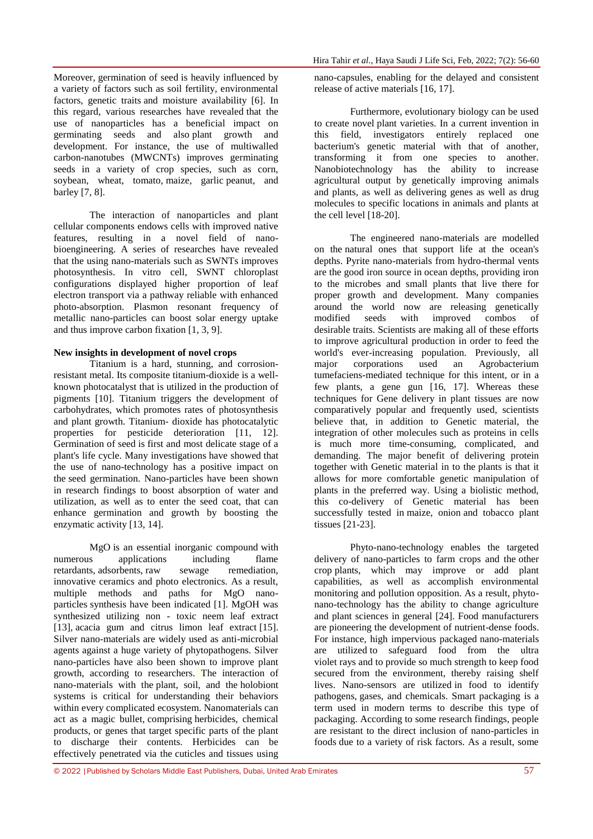Moreover, germination of seed is heavily influenced by a variety of factors such as soil fertility, environmental factors, genetic traits and moisture availability [6]. In this regard, various researches have revealed that the use of nanoparticles has a beneficial impact on germinating seeds and also plant growth and development. For instance, the use of multiwalled carbon-nanotubes (MWCNTs) improves germinating seeds in a variety of crop species, such as corn, soybean, wheat, tomato, maize, garlic peanut, and barley [7, 8].

The interaction of nanoparticles and plant cellular components endows cells with improved native features, resulting in a novel field of nanobioengineering. A series of researches have revealed that the using nano-materials such as SWNTs improves photosynthesis. In vitro cell, SWNT chloroplast configurations displayed higher proportion of leaf electron transport via a pathway reliable with enhanced photo-absorption. Plasmon resonant frequency of metallic nano-particles can boost solar energy uptake and thus improve carbon fixation [1, 3, 9].

## **New insights in development of novel crops**

Titanium is a hard, stunning, and corrosionresistant metal. Its composite titanium-dioxide is a wellknown photocatalyst that is utilized in the production of pigments [10]. Titanium triggers the development of carbohydrates, which promotes rates of photosynthesis and plant growth. Titanium- dioxide has photocatalytic properties for pesticide deterioration [11, 12]. Germination of seed is first and most delicate stage of a plant's life cycle. Many investigations have showed that the use of nano-technology has a positive impact on the seed germination. Nano-particles have been shown in research findings to boost absorption of water and utilization, as well as to enter the seed coat, that can enhance germination and growth by boosting the enzymatic activity [13, 14].

MgO is an essential inorganic compound with numerous applications including flame retardants, adsorbents, raw sewage remediation, innovative ceramics and photo electronics. As a result, multiple methods and paths for MgO nanoparticles synthesis have been indicated [1]. MgOH was synthesized utilizing non - toxic neem leaf extract [13], acacia gum and citrus limon leaf extract [15]. Silver nano-materials are widely used as anti-microbial agents against a huge variety of phytopathogens. Silver nano-particles have also been shown to improve plant growth, according to researchers. The interaction of nano-materials with the plant, soil, and the holobiont systems is critical for understanding their behaviors within every complicated ecosystem. Nanomaterials can act as a magic bullet, comprising herbicides, chemical products, or genes that target specific parts of the plant to discharge their contents. Herbicides can be effectively penetrated via the cuticles and tissues using

nano-capsules, enabling for the delayed and consistent release of active materials [16, 17].

Furthermore, evolutionary biology can be used to create novel plant varieties. In a current invention in this field, investigators entirely replaced one bacterium's genetic material with that of another, transforming it from one species to another. Nanobiotechnology has the ability to increase agricultural output by genetically improving animals and plants, as well as delivering genes as well as drug molecules to specific locations in animals and plants at the cell level [18-20].

The engineered nano-materials are modelled on the natural ones that support life at the ocean's depths. Pyrite nano-materials from hydro-thermal vents are the good iron source in ocean depths, providing iron to the microbes and small plants that live there for proper growth and development. Many companies around the world now are releasing genetically modified seeds with improved combos of desirable traits. Scientists are making all of these efforts to improve agricultural production in order to feed the world's ever-increasing population. Previously, all major corporations used an Agrobacterium tumefaciens-mediated technique for this intent, or in a few plants, a gene gun [16, 17]. Whereas these techniques for Gene delivery in plant tissues are now comparatively popular and frequently used, scientists believe that, in addition to Genetic material, the integration of other molecules such as proteins in cells is much more time-consuming, complicated, and demanding. The major benefit of delivering protein together with Genetic material in to the plants is that it allows for more comfortable genetic manipulation of plants in the preferred way. Using a biolistic method, this co-delivery of Genetic material has been successfully tested in maize, onion and tobacco plant tissues [21-23].

Phyto-nano-technology enables the targeted delivery of nano-particles to farm crops and the other crop plants, which may improve or add plant capabilities, as well as accomplish environmental monitoring and pollution opposition. As a result, phytonano-technology has the ability to change agriculture and plant sciences in general [24]. Food manufacturers are pioneering the development of nutrient-dense foods. For instance, high impervious packaged nano-materials are utilized to safeguard food from the ultra violet rays and to provide so much strength to keep food secured from the environment, thereby raising shelf lives. Nano-sensors are utilized in food to identify pathogens, gases, and chemicals. Smart packaging is a term used in modern terms to describe this type of packaging. According to some research findings, people are resistant to the direct inclusion of nano-particles in foods due to a variety of risk factors. As a result, some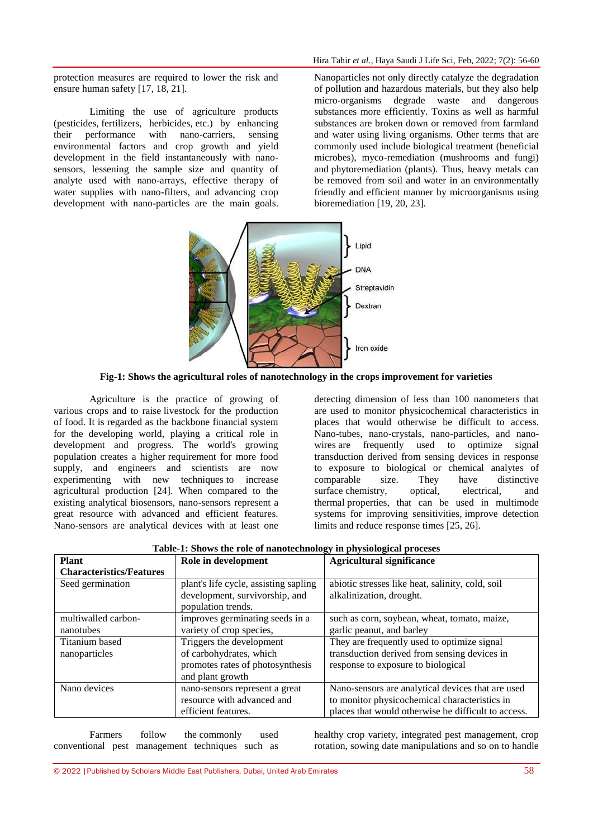protection measures are required to lower the risk and ensure human safety [17, 18, 21].

Limiting the use of agriculture products (pesticides, fertilizers, herbicides, etc.) by enhancing their performance with nano-carriers, sensing environmental factors and crop growth and yield development in the field instantaneously with nanosensors, lessening the sample size and quantity of analyte used with nano-arrays, effective therapy of water supplies with nano-filters, and advancing crop development with nano-particles are the main goals. Nanoparticles not only directly catalyze the degradation of pollution and hazardous materials, but they also help micro-organisms degrade waste and dangerous substances more efficiently. Toxins as well as harmful substances are broken down or removed from farmland and water using living organisms. Other terms that are commonly used include biological treatment (beneficial microbes), myco-remediation (mushrooms and fungi) and phytoremediation (plants). Thus, heavy metals can be removed from soil and water in an environmentally friendly and efficient manner by microorganisms using bioremediation [19, 20, 23].



**Fig-1: Shows the agricultural roles of nanotechnology in the crops improvement for varieties**

Agriculture is the practice of growing of various crops and to raise livestock for the production of food. It is regarded as the backbone financial system for the developing world, playing a critical role in development and progress. The world's growing population creates a higher requirement for more food supply, and engineers and scientists are now experimenting with new techniques to increase agricultural production [24]. When compared to the existing analytical biosensors, nano-sensors represent a great resource with advanced and efficient features. Nano-sensors are analytical devices with at least one

detecting dimension of less than 100 nanometers that are used to monitor physicochemical characteristics in places that would otherwise be difficult to access. Nano-tubes, nano-crystals, nano-particles, and nanowires are frequently used to optimize signal transduction derived from sensing devices in response to exposure to biological or chemical analytes of comparable size. They have distinctive surface chemistry, optical, electrical, and thermal properties, that can be used in multimode systems for improving sensitivities, improve detection limits and reduce response times [25, 26].

| <b>Plant</b>                    | <b>Table-1:</b> Shows the role of hanotechnology in physiological processs<br>Role in development | <b>Agricultural significance</b>                    |
|---------------------------------|---------------------------------------------------------------------------------------------------|-----------------------------------------------------|
| <b>Characteristics/Features</b> |                                                                                                   |                                                     |
| Seed germination                | plant's life cycle, assisting sapling                                                             | abiotic stresses like heat, salinity, cold, soil    |
|                                 | development, survivorship, and                                                                    | alkalinization, drought.                            |
|                                 | population trends.                                                                                |                                                     |
| multiwalled carbon-             | improves germinating seeds in a                                                                   | such as corn, soybean, wheat, tomato, maize,        |
| nanotubes                       | variety of crop species,                                                                          | garlic peanut, and barley                           |
| Titanium based                  | Triggers the development                                                                          | They are frequently used to optimize signal         |
| nanoparticles                   | of carbohydrates, which                                                                           | transduction derived from sensing devices in        |
|                                 | promotes rates of photosynthesis                                                                  | response to exposure to biological                  |
|                                 | and plant growth                                                                                  |                                                     |
| Nano devices                    | nano-sensors represent a great                                                                    | Nano-sensors are analytical devices that are used   |
|                                 | resource with advanced and                                                                        | to monitor physicochemical characteristics in       |
|                                 | efficient features.                                                                               | places that would otherwise be difficult to access. |

**Table-1: Shows the role of nanotechnology in physiological proceses**

Farmers follow the commonly used conventional pest management techniques such as healthy crop variety, integrated pest management, crop rotation, sowing date manipulations and so on to handle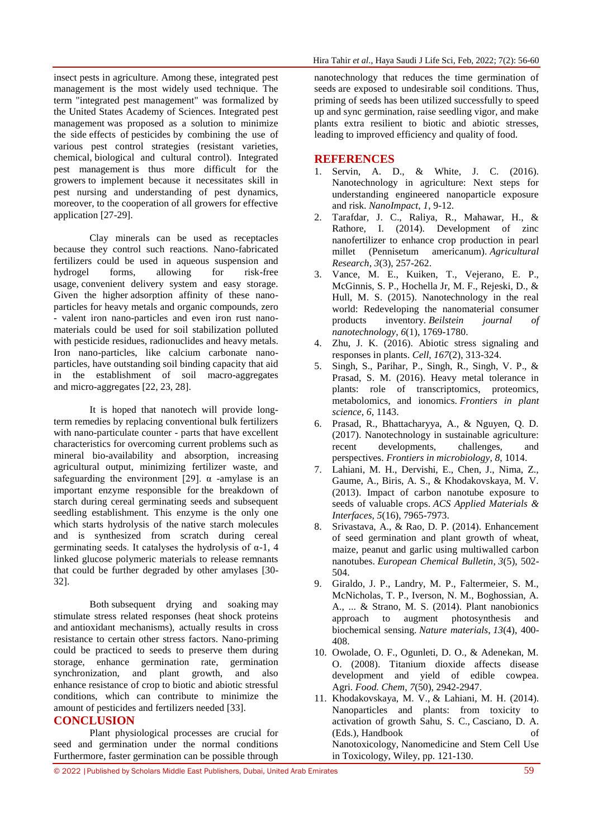insect pests in agriculture. Among these, integrated pest management is the most widely used technique. The term "integrated pest management" was formalized by the United States Academy of Sciences. Integrated pest management was proposed as a solution to minimize the side effects of pesticides by combining the use of various pest control strategies (resistant varieties, chemical, biological and cultural control). Integrated pest management is thus more difficult for the growers to implement because it necessitates skill in pest nursing and understanding of pest dynamics, moreover, to the cooperation of all growers for effective application [27-29].

Clay minerals can be used as receptacles because they control such reactions. Nano-fabricated fertilizers could be used in aqueous suspension and hydrogel forms, allowing for risk-free usage, convenient delivery system and easy storage. Given the higher adsorption affinity of these nanoparticles for heavy metals and organic compounds, zero - valent iron nano-particles and even iron rust nanomaterials could be used for soil stabilization polluted with pesticide residues, radionuclides and heavy metals. Iron nano-particles, like calcium carbonate nanoparticles, have outstanding soil binding capacity that aid in the establishment of soil macro-aggregates and micro-aggregates [22, 23, 28].

It is hoped that nanotech will provide longterm remedies by replacing conventional bulk fertilizers with nano-particulate counter - parts that have excellent characteristics for overcoming current problems such as mineral bio-availability and absorption, increasing agricultural output, minimizing fertilizer waste, and safeguarding the environment [29].  $\alpha$  -amylase is an important enzyme responsible for the breakdown of starch during cereal germinating seeds and subsequent seedling establishment. This enzyme is the only one which starts hydrolysis of the native starch molecules and is synthesized from scratch during cereal germinating seeds. It catalyses the hydrolysis of  $\alpha$ -1, 4 linked glucose polymeric materials to release remnants that could be further degraded by other amylases [30- 32].

Both subsequent drying and soaking may stimulate stress related responses (heat shock proteins and antioxidant mechanisms), actually results in cross resistance to certain other stress factors. Nano-priming could be practiced to seeds to preserve them during storage, enhance germination rate, germination synchronization, and plant growth, and also enhance resistance of crop to biotic and abiotic stressful conditions, which can contribute to minimize the amount of pesticides and fertilizers needed [33].

#### **CONCLUSION**

Plant physiological processes are crucial for seed and germination under the normal conditions Furthermore, faster germination can be possible through

nanotechnology that reduces the time germination of seeds are exposed to undesirable soil conditions. Thus, priming of seeds has been utilized successfully to speed up and sync germination, raise seedling vigor, and make plants extra resilient to biotic and abiotic stresses, leading to improved efficiency and quality of food.

#### **REFERENCES**

- 1. Servin, A. D., & White, J. C. (2016). Nanotechnology in agriculture: Next steps for understanding engineered nanoparticle exposure and risk. *NanoImpact*, *1*, 9-12.
- 2. Tarafdar, J. C., Raliya, R., Mahawar, H., & Rathore, I. (2014). Development of zinc nanofertilizer to enhance crop production in pearl millet (Pennisetum americanum). *Agricultural Research*, *3*(3), 257-262.
- 3. Vance, M. E., Kuiken, T., Vejerano, E. P., McGinnis, S. P., Hochella Jr, M. F., Rejeski, D., & Hull, M. S. (2015). Nanotechnology in the real world: Redeveloping the nanomaterial consumer products inventory. *Beilstein journal of nanotechnology*, *6*(1), 1769-1780.
- 4. Zhu, J. K. (2016). Abiotic stress signaling and responses in plants. *Cell*, *167*(2), 313-324.
- 5. Singh, S., Parihar, P., Singh, R., Singh, V. P., & Prasad, S. M. (2016). Heavy metal tolerance in plants: role of transcriptomics, proteomics, metabolomics, and ionomics. *Frontiers in plant science*, *6*, 1143.
- 6. Prasad, R., Bhattacharyya, A., & Nguyen, Q. D. (2017). Nanotechnology in sustainable agriculture: recent developments, challenges, and perspectives. *Frontiers in microbiology*, *8*, 1014.
- 7. Lahiani, M. H., Dervishi, E., Chen, J., Nima, Z., Gaume, A., Biris, A. S., & Khodakovskaya, M. V. (2013). Impact of carbon nanotube exposure to seeds of valuable crops. *ACS Applied Materials & Interfaces*, *5*(16), 7965-7973.
- 8. Srivastava, A., & Rao, D. P. (2014). Enhancement of seed germination and plant growth of wheat, maize, peanut and garlic using multiwalled carbon nanotubes. *European Chemical Bulletin*, *3*(5), 502- 504.
- 9. Giraldo, J. P., Landry, M. P., Faltermeier, S. M., McNicholas, T. P., Iverson, N. M., Boghossian, A. A., ... & Strano, M. S. (2014). Plant nanobionics approach to augment photosynthesis and biochemical sensing. *Nature materials*, *13*(4), 400- 408.
- 10. Owolade, O. F., Ogunleti, D. O., & Adenekan, M. O. (2008). Titanium dioxide affects disease development and yield of edible cowpea. Agri. *Food. Chem*, *7*(50), 2942-2947.
- 11. Khodakovskaya, M. V., & Lahiani, M. H. (2014). Nanoparticles and plants: from toxicity to activation of growth Sahu, S. C., Casciano, D. A. (Eds.), Handbook of Nanotoxicology, Nanomedicine and Stem Cell Use in Toxicology, Wiley, pp. 121-130.